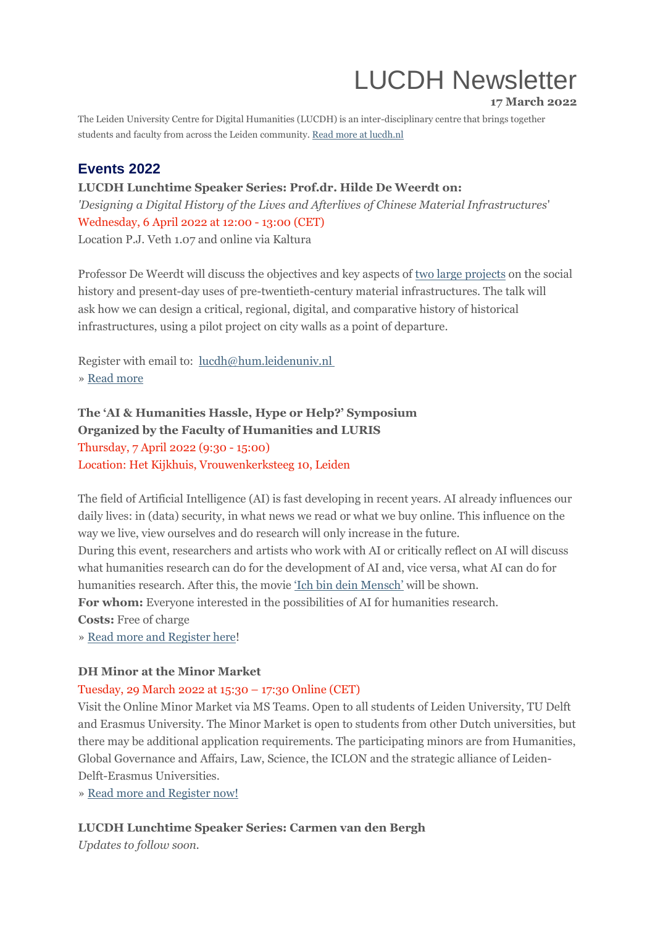# LUCDH Newsletter

**17 March 2022**

The Leiden University Centre for Digital Humanities (LUCDH) is an inter-disciplinary centre that brings together students and faculty from across the Leiden community. Read more at [lucdh.nl](https://eur03.safelinks.protection.outlook.com/?url=https%3A%2F%2Fmailings.universiteitleiden.nl%2Ft%2Fd-l-fliityk-ildrlkutiy-y%2F&data=04%7C01%7Ca.j.carter%40hum.leidenuniv.nl%7Ccb97eafcf0064a1f34a008da07fc82bd%7Cca2a7f76dbd74ec091086b3d524fb7c8%7C0%7C0%7C637831078351978572%7CUnknown%7CTWFpbGZsb3d8eyJWIjoiMC4wLjAwMDAiLCJQIjoiV2luMzIiLCJBTiI6Ik1haWwiLCJXVCI6Mn0%3D%7C3000&sdata=TJ447umKHiiXD44KKGSV2KyyaRV94M6d8yeKFBrZIzM%3D&reserved=0)

## **Events 2022**

**LUCDH Lunchtime Speaker Series: Prof.dr. Hilde De Weerdt on:** *'Designing a Digital History of the Lives and Afterlives of Chinese Material Infrastructures*' Wednesday, 6 April 2022 at 12:00 - 13:00 (CET) Location P.J. Veth 1.07 and online via Kaltura

Professor De Weerdt will discuss the objectives and key aspects of two large [projects](https://eur03.safelinks.protection.outlook.com/?url=https%3A%2F%2Fmailings.universiteitleiden.nl%2Ft%2Fd-l-fliityk-ildrlkutiy-j%2F&data=04%7C01%7Ca.j.carter%40hum.leidenuniv.nl%7Ccb97eafcf0064a1f34a008da07fc82bd%7Cca2a7f76dbd74ec091086b3d524fb7c8%7C0%7C0%7C637831078351978572%7CUnknown%7CTWFpbGZsb3d8eyJWIjoiMC4wLjAwMDAiLCJQIjoiV2luMzIiLCJBTiI6Ik1haWwiLCJXVCI6Mn0%3D%7C3000&sdata=njgIXeBmVhz47Kdc0JCg69f2dEDYNSR5GZQ88nSHrEU%3D&reserved=0) on the social history and present-day uses of pre-twentieth-century material infrastructures. The talk will ask how we can design a critical, regional, digital, and comparative history of historical infrastructures, using a pilot project on city walls as a point of departure.

Register with email to: [lucdh@hum.leidenuniv.nl](mailto:lucdh@hum.leidenuniv.nl) » Read [more](https://eur03.safelinks.protection.outlook.com/?url=https%3A%2F%2Fmailings.universiteitleiden.nl%2Ft%2Fd-l-fliityk-ildrlkutiy-t%2F&data=04%7C01%7Ca.j.carter%40hum.leidenuniv.nl%7Ccb97eafcf0064a1f34a008da07fc82bd%7Cca2a7f76dbd74ec091086b3d524fb7c8%7C0%7C0%7C637831078351978572%7CUnknown%7CTWFpbGZsb3d8eyJWIjoiMC4wLjAwMDAiLCJQIjoiV2luMzIiLCJBTiI6Ik1haWwiLCJXVCI6Mn0%3D%7C3000&sdata=LB5bD%2BTEtysllDYTICMajEh0dMmXleWRuBPIAdldMco%3D&reserved=0)

# **The 'AI & Humanities Hassle, Hype or Help?' Symposium**

**Organized by the Faculty of Humanities and LURIS**

Thursday, 7 April 2022 (9:30 - 15:00) Location: Het Kijkhuis, Vrouwenkerksteeg 10, Leiden

The field of Artificial Intelligence (AI) is fast developing in recent years. AI already influences our daily lives: in (data) security, in what news we read or what we buy online. This influence on the way we live, view ourselves and do research will only increase in the future.

During this event, researchers and artists who work with AI or critically reflect on AI will discuss what humanities research can do for the development of AI and, vice versa, what AI can do for humanities research. After this, the movie 'Ich bin dein [Mensch'](https://eur03.safelinks.protection.outlook.com/?url=https%3A%2F%2Fmailings.universiteitleiden.nl%2Ft%2Fd-l-fliityk-ildrlkutiy-i%2F&data=04%7C01%7Ca.j.carter%40hum.leidenuniv.nl%7Ccb97eafcf0064a1f34a008da07fc82bd%7Cca2a7f76dbd74ec091086b3d524fb7c8%7C0%7C0%7C637831078351978572%7CUnknown%7CTWFpbGZsb3d8eyJWIjoiMC4wLjAwMDAiLCJQIjoiV2luMzIiLCJBTiI6Ik1haWwiLCJXVCI6Mn0%3D%7C3000&sdata=ywkrbUahROYtOi9MAE2L3WGMyaGObZTFQCZzWU3fXn0%3D&reserved=0) will be shown.

**For whom:** Everyone interested in the possibilities of AI for humanities research.

**Costs:** Free of charge

» Read more and [Register](https://eur03.safelinks.protection.outlook.com/?url=https%3A%2F%2Fmailings.universiteitleiden.nl%2Ft%2Fd-l-fliityk-ildrlkutiy-d%2F&data=04%7C01%7Ca.j.carter%40hum.leidenuniv.nl%7Ccb97eafcf0064a1f34a008da07fc82bd%7Cca2a7f76dbd74ec091086b3d524fb7c8%7C0%7C0%7C637831078351978572%7CUnknown%7CTWFpbGZsb3d8eyJWIjoiMC4wLjAwMDAiLCJQIjoiV2luMzIiLCJBTiI6Ik1haWwiLCJXVCI6Mn0%3D%7C3000&sdata=gQk2lWeaVzjpXBc3toGQsyfbuJTxQ1oZsQjbFi%2FnfNk%3D&reserved=0) here!

## **DH Minor at the Minor Market**

## Tuesday, 29 March 2022 at 15:30 – 17:30 Online (CET)

Visit the Online Minor Market via MS Teams. Open to all students of Leiden University, TU Delft and Erasmus University. The Minor Market is open to students from other Dutch universities, but there may be additional application requirements. The participating minors are from Humanities, Global Governance and Affairs, Law, Science, the ICLON and the strategic alliance of Leiden-Delft-Erasmus Universities.

» Read more and [Register](https://eur03.safelinks.protection.outlook.com/?url=https%3A%2F%2Fmailings.universiteitleiden.nl%2Ft%2Fd-l-fliityk-ildrlkutiy-h%2F&data=04%7C01%7Ca.j.carter%40hum.leidenuniv.nl%7Ccb97eafcf0064a1f34a008da07fc82bd%7Cca2a7f76dbd74ec091086b3d524fb7c8%7C0%7C0%7C637831078351978572%7CUnknown%7CTWFpbGZsb3d8eyJWIjoiMC4wLjAwMDAiLCJQIjoiV2luMzIiLCJBTiI6Ik1haWwiLCJXVCI6Mn0%3D%7C3000&sdata=toSccOYUuBotepLUprc8NYPV%2B%2FAXAUwbeJ7ND614OqE%3D&reserved=0) now!

## **LUCDH Lunchtime Speaker Series: Carmen van den Bergh**

*Updates to follow soon.*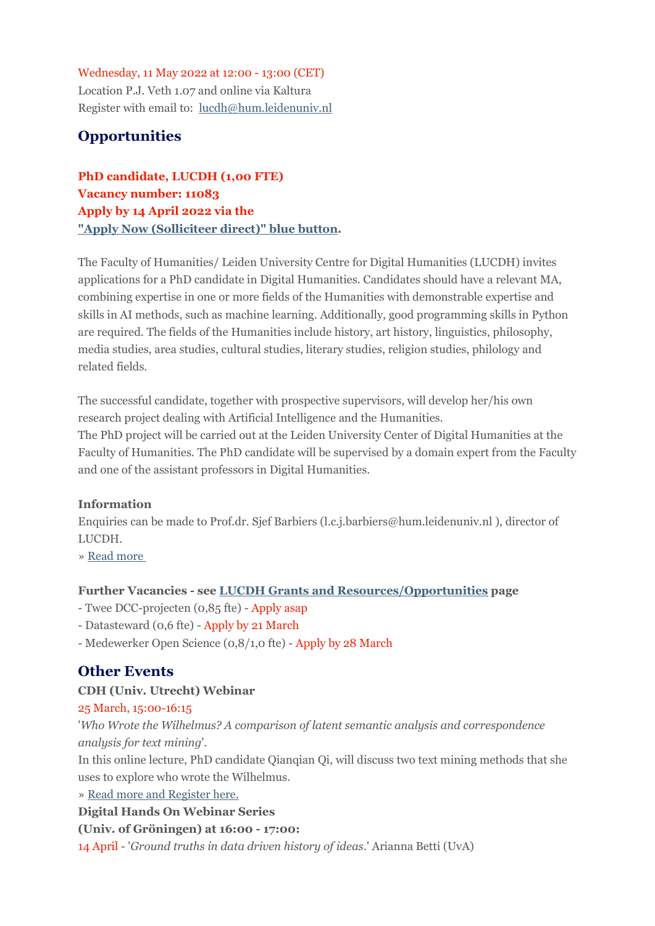## Wednesday, 11 May 2022 at 12:00 - 13:00 (CET)

Location P.J. Veth 1.07 and online via Kaltura Register with email to: [lucdh@hum.leidenuniv.nl](mailto:lucdh@hum.leidenuniv.nl)

## **Opportunities**

**PhD candidate, LUCDH (1,00 FTE) Vacancy number: 11083 Apply by 14 April 2022 via the "Apply Now [\(Solliciteer](https://eur03.safelinks.protection.outlook.com/?url=https%3A%2F%2Fmailings.universiteitleiden.nl%2Ft%2Fd-l-fliityk-ildrlkutiy-k%2F&data=04%7C01%7Ca.j.carter%40hum.leidenuniv.nl%7Ccb97eafcf0064a1f34a008da07fc82bd%7Cca2a7f76dbd74ec091086b3d524fb7c8%7C0%7C0%7C637831078351978572%7CUnknown%7CTWFpbGZsb3d8eyJWIjoiMC4wLjAwMDAiLCJQIjoiV2luMzIiLCJBTiI6Ik1haWwiLCJXVCI6Mn0%3D%7C3000&sdata=PUpFTwW7k8dBOyl1O8QcdwPtV23zyy2fgZaAQxPIvQc%3D&reserved=0) direct)" blue button.**

The Faculty of Humanities/ Leiden University Centre for Digital Humanities (LUCDH) invites applications for a PhD candidate in Digital Humanities. Candidates should have a relevant MA, combining expertise in one or more fields of the Humanities with demonstrable expertise and skills in AI methods, such as machine learning. Additionally, good programming skills in Python are required. The fields of the Humanities include history, art history, linguistics, philosophy, media studies, area studies, cultural studies, literary studies, religion studies, philology and related fields.

The successful candidate, together with prospective supervisors, will develop her/his own research project dealing with Artificial Intelligence and the Humanities. The PhD project will be carried out at the Leiden University Center of Digital Humanities at the Faculty of Humanities. The PhD candidate will be supervised by a domain expert from the Faculty and one of the assistant professors in Digital Humanities.

## **Information**

Enquiries can be made to Prof.dr. Sjef Barbiers (l.c.j.barbiers@hum.leidenuniv.nl ), director of LUCDH.

» Read [more](https://eur03.safelinks.protection.outlook.com/?url=https%3A%2F%2Fmailings.universiteitleiden.nl%2Ft%2Fd-l-fliityk-ildrlkutiy-u%2F&data=04%7C01%7Ca.j.carter%40hum.leidenuniv.nl%7Ccb97eafcf0064a1f34a008da07fc82bd%7Cca2a7f76dbd74ec091086b3d524fb7c8%7C0%7C0%7C637831078351978572%7CUnknown%7CTWFpbGZsb3d8eyJWIjoiMC4wLjAwMDAiLCJQIjoiV2luMzIiLCJBTiI6Ik1haWwiLCJXVCI6Mn0%3D%7C3000&sdata=UHv2pBnRpJzTn2EQvXcqScwFo1VfU4cFKXUkq8mCBkg%3D&reserved=0)

## **Further Vacancies - see LUCDH Grants and [Resources/Opportunities](https://eur03.safelinks.protection.outlook.com/?url=https%3A%2F%2Fmailings.universiteitleiden.nl%2Ft%2Fd-l-fliityk-ildrlkutiy-o%2F&data=04%7C01%7Ca.j.carter%40hum.leidenuniv.nl%7Ccb97eafcf0064a1f34a008da07fc82bd%7Cca2a7f76dbd74ec091086b3d524fb7c8%7C0%7C0%7C637831078351978572%7CUnknown%7CTWFpbGZsb3d8eyJWIjoiMC4wLjAwMDAiLCJQIjoiV2luMzIiLCJBTiI6Ik1haWwiLCJXVCI6Mn0%3D%7C3000&sdata=uNGoU5edbu3wLprkvR%2BdUzCKrfkS27Grvf8FgJ71Xoc%3D&reserved=0) page**

- Twee DCC-projecten (0,85 fte) Apply asap
- Datasteward (0,6 fte) Apply by 21 March
- Medewerker Open Science (0,8/1,0 fte) Apply by 28 March

## **Other Events**

## **CDH (Univ. Utrecht) Webinar**

## 25 March, 15:00-16:15

'*Who Wrote the Wilhelmus? A comparison of latent semantic analysis and correspondence analysis for text mining*'.

In this online lecture, PhD candidate Qianqian Qi, will discuss two text mining methods that she uses to explore who wrote the Wilhelmus.

» Read more and [Register](https://eur03.safelinks.protection.outlook.com/?url=https%3A%2F%2Fmailings.universiteitleiden.nl%2Ft%2Fd-l-fliityk-ildrlkutiy-p%2F&data=04%7C01%7Ca.j.carter%40hum.leidenuniv.nl%7Ccb97eafcf0064a1f34a008da07fc82bd%7Cca2a7f76dbd74ec091086b3d524fb7c8%7C0%7C0%7C637831078351978572%7CUnknown%7CTWFpbGZsb3d8eyJWIjoiMC4wLjAwMDAiLCJQIjoiV2luMzIiLCJBTiI6Ik1haWwiLCJXVCI6Mn0%3D%7C3000&sdata=GheuKMXX6cKAQO5RhOdRv6WldjqUv9rNCtymlsWqaKE%3D&reserved=0) here.

#### **Digital Hands On Webinar Series**

**(Univ. of Gröningen) at 16:00 - 17:00:**

14 April - '*Ground truths in data driven history of ideas*.' Arianna Betti (UvA)